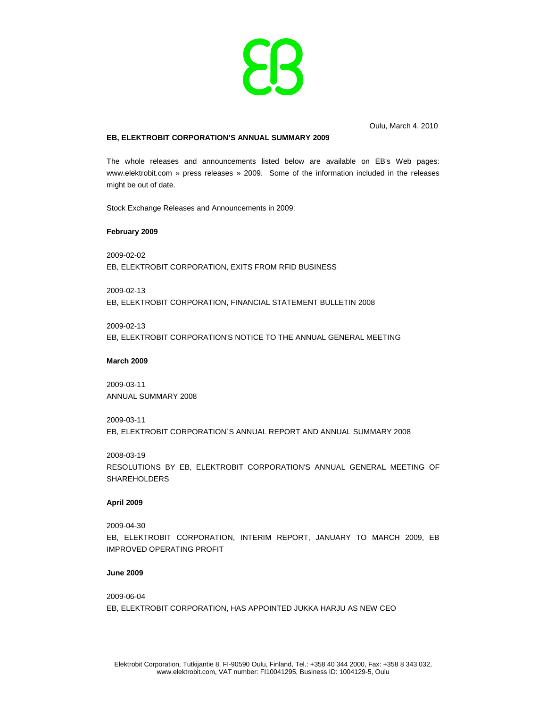

Oulu, March 4, 2010

# **EB, ELEKTROBIT CORPORATION'S ANNUAL SUMMARY 2009**

The whole releases and announcements listed below are available on EB's Web pages: www.elektrobit.com » press releases » 2009. Some of the information included in the releases might be out of date.

Stock Exchange Releases and Announcements in 2009:

### **February 2009**

2009-02-02 EB, ELEKTROBIT CORPORATION, EXITS FROM RFID BUSINESS

2009-02-13 EB, ELEKTROBIT CORPORATION, FINANCIAL STATEMENT BULLETIN 2008

2009-02-13 EB, ELEKTROBIT CORPORATION'S NOTICE TO THE ANNUAL GENERAL MEETING

#### **March 2009**

2009-03-11 ANNUAL SUMMARY 2008

2009-03-11

EB, ELEKTROBIT CORPORATION`S ANNUAL REPORT AND ANNUAL SUMMARY 2008

2008-03-19

RESOLUTIONS BY EB, ELEKTROBIT CORPORATION'S ANNUAL GENERAL MEETING OF SHAREHOLDERS

#### **April 2009**

2009-04-30

EB, ELEKTROBIT CORPORATION, INTERIM REPORT, JANUARY TO MARCH 2009, EB IMPROVED OPERATING PROFIT

#### **June 2009**

2009-06-04 EB, ELEKTROBIT CORPORATION, HAS APPOINTED JUKKA HARJU AS NEW CEO